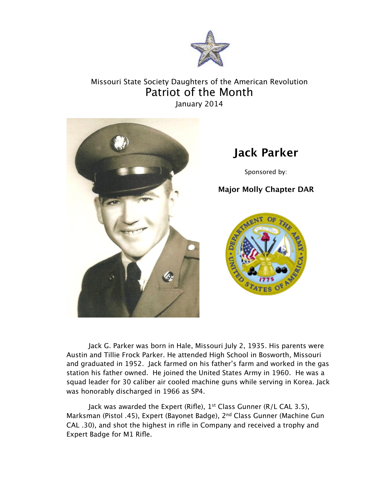

## Missouri State Society Daughters of the American Revolution Patriot of the Month January 2014



## **Jack Parker**

Sponsored by:

## **Major Molly Chapter DAR**



Jack G. Parker was born in Hale, Missouri July 2, 1935. His parents were Austin and Tillie Frock Parker. He attended High School in Bosworth, Missouri and graduated in 1952. Jack farmed on his father's farm and worked in the gas station his father owned. He joined the United States Army in 1960. He was a squad leader for 30 caliber air cooled machine guns while serving in Korea. Jack was honorably discharged in 1966 as SP4.

Jack was awarded the Expert (Rifle), 1<sup>st</sup> Class Gunner (R/L CAL 3.5), Marksman (Pistol .45), Expert (Bayonet Badge), 2<sup>nd</sup> Class Gunner (Machine Gun CAL .30), and shot the highest in rifle in Company and received a trophy and Expert Badge for M1 Rifle.